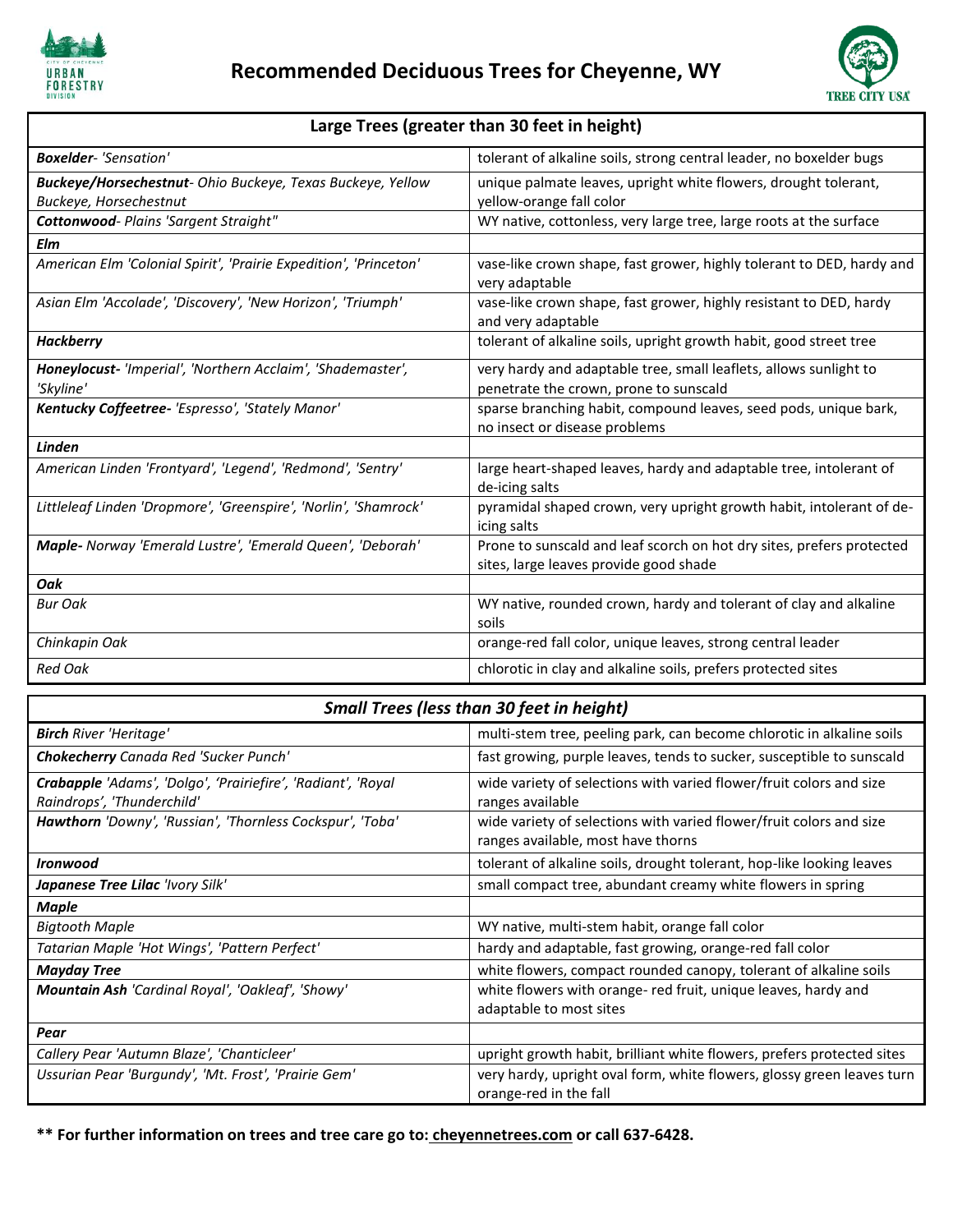



## **Large Trees (greater than 30 feet in height)**

| <b>Boxelder-</b> 'Sensation'                                      | tolerant of alkaline soils, strong central leader, no boxelder bugs                                             |
|-------------------------------------------------------------------|-----------------------------------------------------------------------------------------------------------------|
| <b>Buckeye/Horsechestnut-</b> Ohio Buckeye, Texas Buckeye, Yellow | unique palmate leaves, upright white flowers, drought tolerant,                                                 |
| Buckeye, Horsechestnut                                            | yellow-orange fall color                                                                                        |
| <b>Cottonwood-</b> Plains 'Sargent Straight"                      | WY native, cottonless, very large tree, large roots at the surface                                              |
| Elm                                                               |                                                                                                                 |
| American Elm 'Colonial Spirit', 'Prairie Expedition', 'Princeton' | vase-like crown shape, fast grower, highly tolerant to DED, hardy and<br>very adaptable                         |
| Asian Elm 'Accolade', 'Discovery', 'New Horizon', 'Triumph'       | vase-like crown shape, fast grower, highly resistant to DED, hardy<br>and very adaptable                        |
| <b>Hackberry</b>                                                  | tolerant of alkaline soils, upright growth habit, good street tree                                              |
| Honeylocust-'Imperial', 'Northern Acclaim', 'Shademaster',        | very hardy and adaptable tree, small leaflets, allows sunlight to                                               |
| 'Skyline'                                                         | penetrate the crown, prone to sunscald                                                                          |
| Kentucky Coffeetree- 'Espresso', 'Stately Manor'                  | sparse branching habit, compound leaves, seed pods, unique bark,<br>no insect or disease problems               |
| Linden                                                            |                                                                                                                 |
| American Linden 'Frontyard', 'Legend', 'Redmond', 'Sentry'        | large heart-shaped leaves, hardy and adaptable tree, intolerant of<br>de-icing salts                            |
| Littleleaf Linden 'Dropmore', 'Greenspire', 'Norlin', 'Shamrock'  | pyramidal shaped crown, very upright growth habit, intolerant of de-<br>icing salts                             |
| Maple- Norway 'Emerald Lustre', 'Emerald Queen', 'Deborah'        | Prone to sunscald and leaf scorch on hot dry sites, prefers protected<br>sites, large leaves provide good shade |
| Oak                                                               |                                                                                                                 |
| <b>Bur Oak</b>                                                    | WY native, rounded crown, hardy and tolerant of clay and alkaline<br>soils                                      |
| Chinkapin Oak                                                     | orange-red fall color, unique leaves, strong central leader                                                     |
| <b>Red Oak</b>                                                    | chlorotic in clay and alkaline soils, prefers protected sites                                                   |

| <b>Small Trees (less than 30 feet in height)</b>                                           |                                                                                                           |  |
|--------------------------------------------------------------------------------------------|-----------------------------------------------------------------------------------------------------------|--|
| <b>Birch River 'Heritage'</b>                                                              | multi-stem tree, peeling park, can become chlorotic in alkaline soils                                     |  |
| <b>Chokecherry</b> Canada Red 'Sucker Punch'                                               | fast growing, purple leaves, tends to sucker, susceptible to sunscald                                     |  |
| Crabapple 'Adams', 'Dolgo', 'Prairiefire', 'Radiant', 'Royal<br>Raindrops', 'Thunderchild' | wide variety of selections with varied flower/fruit colors and size<br>ranges available                   |  |
| Hawthorn 'Downy', 'Russian', 'Thornless Cockspur', 'Toba'                                  | wide variety of selections with varied flower/fruit colors and size<br>ranges available, most have thorns |  |
| <b>Ironwood</b>                                                                            | tolerant of alkaline soils, drought tolerant, hop-like looking leaves                                     |  |
| Japanese Tree Lilac 'Ivory Silk'                                                           | small compact tree, abundant creamy white flowers in spring                                               |  |
| <b>Maple</b>                                                                               |                                                                                                           |  |
| <b>Bigtooth Maple</b>                                                                      | WY native, multi-stem habit, orange fall color                                                            |  |
| Tatarian Maple 'Hot Wings', 'Pattern Perfect'                                              | hardy and adaptable, fast growing, orange-red fall color                                                  |  |
| <b>Mayday Tree</b>                                                                         | white flowers, compact rounded canopy, tolerant of alkaline soils                                         |  |
| Mountain Ash 'Cardinal Royal', 'Oakleaf', 'Showy'                                          | white flowers with orange- red fruit, unique leaves, hardy and<br>adaptable to most sites                 |  |
| Pear                                                                                       |                                                                                                           |  |
| Callery Pear 'Autumn Blaze', 'Chanticleer'                                                 | upright growth habit, brilliant white flowers, prefers protected sites                                    |  |
| Ussurian Pear 'Burgundy', 'Mt. Frost', 'Prairie Gem'                                       | very hardy, upright oval form, white flowers, glossy green leaves turn<br>orange-red in the fall          |  |

**\*\* For further information on trees and tree care go to: cheyennetrees.com or call 637-6428.**